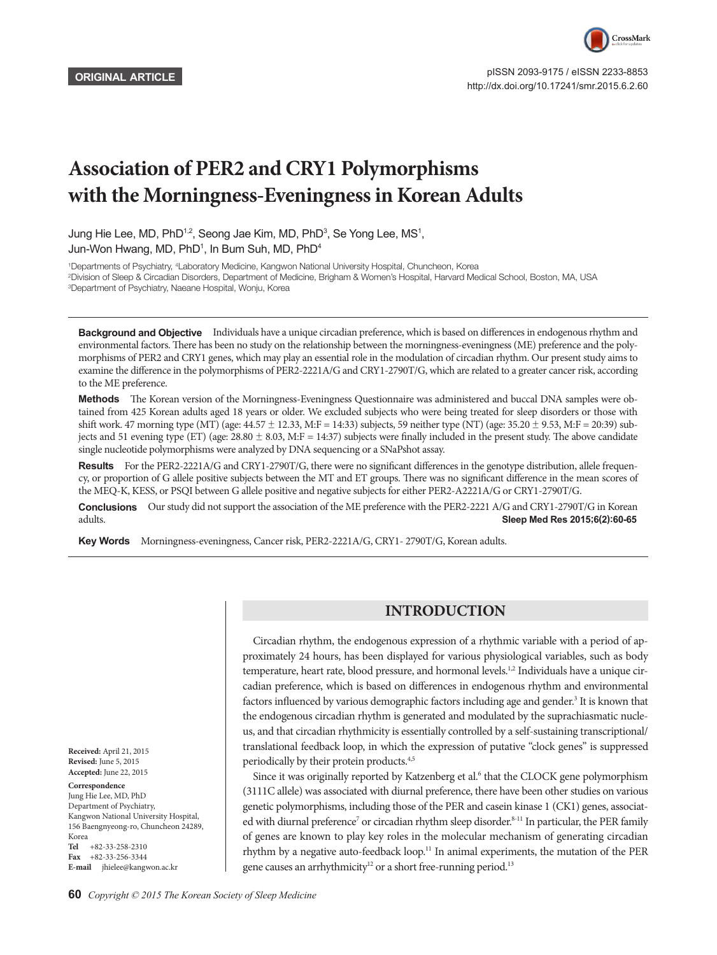

 pISSN 2093-9175 / eISSN 2233-8853 http://dx.doi.org/10.17241/smr.2015.6.2.60

# **Association of PER2 and CRY1 Polymorphisms with the Morningness-Eveningness in Korean Adults**

Jung Hie Lee, MD, PhD<sup>1,2</sup>, Seong Jae Kim, MD, PhD<sup>3</sup>, Se Yong Lee, MS<sup>1</sup>, Jun-Won Hwang, MD, PhD<sup>1</sup>, In Bum Suh, MD, PhD<sup>4</sup>

1 Departments of Psychiatry, 4 Laboratory Medicine, Kangwon National University Hospital, Chuncheon, Korea 2 Division of Sleep & Circadian Disorders, Department of Medicine, Brigham & Women's Hospital, Harvard Medical School, Boston, MA, USA 3 Department of Psychiatry, Naeane Hospital, Wonju, Korea

**Background and Objective** Individuals have a unique circadian preference, which is based on differences in endogenous rhythm and environmental factors. There has been no study on the relationship between the morningness-eveningness (ME) preference and the polymorphisms of PER2 and CRY1 genes, which may play an essential role in the modulation of circadian rhythm. Our present study aims to examine the difference in the polymorphisms of PER2-2221A/G and CRY1-2790T/G, which are related to a greater cancer risk, according to the ME preference.

Methods The Korean version of the Morningness-Eveningness Questionnaire was administered and buccal DNA samples were obtained from 425 Korean adults aged 18 years or older. We excluded subjects who were being treated for sleep disorders or those with shift work. 47 morning type (MT) (age:  $44.57 \pm 12.33$ , M:F = 14:33) subjects, 59 neither type (NT) (age:  $35.20 \pm 9.53$ , M:F = 20:39) subjects and 51 evening type (ET) (age:  $28.80 \pm 8.03$ , M:F = 14:37) subjects were finally included in the present study. The above candidate single nucleotide polymorphisms were analyzed by DNA sequencing or a SNaPshot assay.

**Results** For the PER2-2221A/G and CRY1-2790T/G, there were no significant differences in the genotype distribution, allele frequency, or proportion of G allele positive subjects between the MT and ET groups. There was no significant difference in the mean scores of the MEQ-K, KESS, or PSQI between G allele positive and negative subjects for either PER2-A2221A/G or CRY1-2790T/G.

**Conclusions** Our study did not support the association of the ME preference with the PER2-2221 A/G and CRY1-2790T/G in Korean adults.<br>**Sleep Med Res 2015:6(2):60-65** Sleep Med Res 2015;6(2):60-65

Key Words Morningness-eveningness, Cancer risk, PER2-2221A/G, CRY1- 2790T/G, Korean adults.

## **INTRODUCTION**

Circadian rhythm, the endogenous expression of a rhythmic variable with a period of approximately 24 hours, has been displayed for various physiological variables, such as body temperature, heart rate, blood pressure, and hormonal levels.<sup>1,2</sup> Individuals have a unique circadian preference, which is based on differences in endogenous rhythm and environmental factors influenced by various demographic factors including age and gender.<sup>3</sup> It is known that the endogenous circadian rhythm is generated and modulated by the suprachiasmatic nucleus, and that circadian rhythmicity is essentially controlled by a self-sustaining transcriptional/ translational feedback loop, in which the expression of putative "clock genes" is suppressed periodically by their protein products.4,5

Since it was originally reported by Katzenberg et al.<sup>6</sup> that the CLOCK gene polymorphism (3111C allele) was associated with diurnal preference, there have been other studies on various genetic polymorphisms, including those of the PER and casein kinase 1 (CK1) genes, associated with diurnal preference<sup>7</sup> or circadian rhythm sleep disorder.<sup>8-11</sup> In particular, the PER family of genes are known to play key roles in the molecular mechanism of generating circadian rhythm by a negative auto-feedback loop.<sup>11</sup> In animal experiments, the mutation of the PER gene causes an arrhythmicity<sup>12</sup> or a short free-running period.<sup>13</sup>

**Received:** April 21, 2015 **Revised:** June 5, 2015 **Accepted:** June 22, 2015

#### **Correspondence**

Jung Hie Lee, MD, PhD Department of Psychiatry, Kangwon National University Hospital, 156 Baengnyeong-ro, Chuncheon 24289, Korea **Tel** +82-33-258-2310 **Fax** +82-33-256-3344 **E-mail** jhielee@kangwon.ac.kr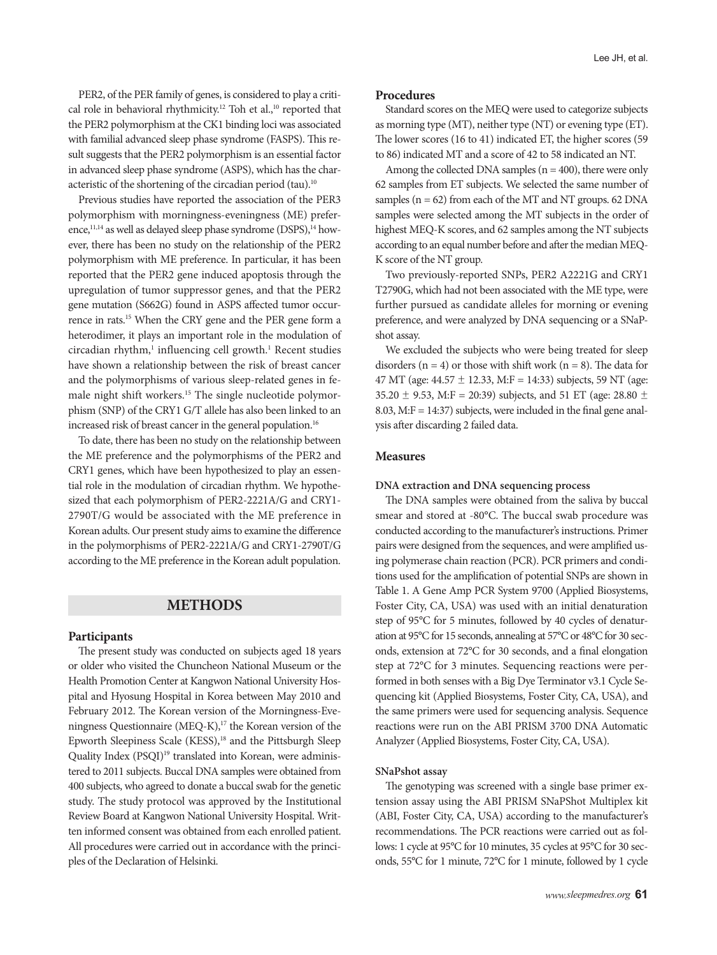PER2, of the PER family of genes, is considered to play a critical role in behavioral rhythmicity.<sup>12</sup> Toh et al.,<sup>10</sup> reported that the PER2 polymorphism at the CK1 binding loci was associated with familial advanced sleep phase syndrome (FASPS). This result suggests that the PER2 polymorphism is an essential factor in advanced sleep phase syndrome (ASPS), which has the characteristic of the shortening of the circadian period (tau).<sup>10</sup>

Previous studies have reported the association of the PER3 polymorphism with morningness-eveningness (ME) preference,<sup>11,14</sup> as well as delayed sleep phase syndrome (DSPS),<sup>14</sup> however, there has been no study on the relationship of the PER2 polymorphism with ME preference. In particular, it has been reported that the PER2 gene induced apoptosis through the upregulation of tumor suppressor genes, and that the PER2 gene mutation (S662G) found in ASPS affected tumor occurrence in rats.15 When the CRY gene and the PER gene form a heterodimer, it plays an important role in the modulation of circadian rhythm,<sup>1</sup> influencing cell growth.<sup>1</sup> Recent studies have shown a relationship between the risk of breast cancer and the polymorphisms of various sleep-related genes in female night shift workers.15 The single nucleotide polymorphism (SNP) of the CRY1 G/T allele has also been linked to an increased risk of breast cancer in the general population.<sup>16</sup>

To date, there has been no study on the relationship between the ME preference and the polymorphisms of the PER2 and CRY1 genes, which have been hypothesized to play an essential role in the modulation of circadian rhythm. We hypothesized that each polymorphism of PER2-2221A/G and CRY1- 2790T/G would be associated with the ME preference in Korean adults. Our present study aims to examine the difference in the polymorphisms of PER2-2221A/G and CRY1-2790T/G according to the ME preference in the Korean adult population.

### **METHODS**

#### **Participants**

The present study was conducted on subjects aged 18 years or older who visited the Chuncheon National Museum or the Health Promotion Center at Kangwon National University Hospital and Hyosung Hospital in Korea between May 2010 and February 2012. The Korean version of the Morningness-Eveningness Questionnaire (MEQ-K),<sup>17</sup> the Korean version of the Epworth Sleepiness Scale (KESS),<sup>18</sup> and the Pittsburgh Sleep Quality Index (PSQI)<sup>19</sup> translated into Korean, were administered to 2011 subjects. Buccal DNA samples were obtained from 400 subjects, who agreed to donate a buccal swab for the genetic study. The study protocol was approved by the Institutional Review Board at Kangwon National University Hospital. Written informed consent was obtained from each enrolled patient. All procedures were carried out in accordance with the principles of the Declaration of Helsinki.

## **Procedures**

Standard scores on the MEQ were used to categorize subjects as morning type (MT), neither type (NT) or evening type (ET). The lower scores (16 to 41) indicated ET, the higher scores (59 to 86) indicated MT and a score of 42 to 58 indicated an NT.

Among the collected DNA samples ( $n = 400$ ), there were only 62 samples from ET subjects. We selected the same number of samples ( $n = 62$ ) from each of the MT and NT groups. 62 DNA samples were selected among the MT subjects in the order of highest MEQ-K scores, and 62 samples among the NT subjects according to an equal number before and after the median MEQ-K score of the NT group.

Two previously-reported SNPs, PER2 A2221G and CRY1 T2790G, which had not been associated with the ME type, were further pursued as candidate alleles for morning or evening preference, and were analyzed by DNA sequencing or a SNaPshot assay.

We excluded the subjects who were being treated for sleep disorders ( $n = 4$ ) or those with shift work ( $n = 8$ ). The data for 47 MT (age:  $44.57 \pm 12.33$ , M:F = 14:33) subjects, 59 NT (age: 35.20  $\pm$  9.53, M:F = 20:39) subjects, and 51 ET (age: 28.80  $\pm$ 8.03, M: $F = 14:37$ ) subjects, were included in the final gene analysis after discarding 2 failed data.

#### **Measures**

#### **DNA extraction and DNA sequencing process**

The DNA samples were obtained from the saliva by buccal smear and stored at -80°C. The buccal swab procedure was conducted according to the manufacturer's instructions. Primer pairs were designed from the sequences, and were amplified using polymerase chain reaction (PCR). PCR primers and conditions used for the amplification of potential SNPs are shown in Table 1. A Gene Amp PCR System 9700 (Applied Biosystems, Foster City, CA, USA) was used with an initial denaturation step of 95°C for 5 minutes, followed by 40 cycles of denaturation at 95°C for 15 seconds, annealing at 57°C or 48°C for 30 seconds, extension at 72°C for 30 seconds, and a final elongation step at 72°C for 3 minutes. Sequencing reactions were performed in both senses with a Big Dye Terminator v3.1 Cycle Sequencing kit (Applied Biosystems, Foster City, CA, USA), and the same primers were used for sequencing analysis. Sequence reactions were run on the ABI PRISM 3700 DNA Automatic Analyzer (Applied Biosystems, Foster City, CA, USA).

## **SNaPshot assay**

The genotyping was screened with a single base primer extension assay using the ABI PRISM SNaPShot Multiplex kit (ABI, Foster City, CA, USA) according to the manufacturer's recommendations. The PCR reactions were carried out as follows: 1 cycle at 95°C for 10 minutes, 35 cycles at 95°C for 30 seconds, 55°C for 1 minute, 72°C for 1 minute, followed by 1 cycle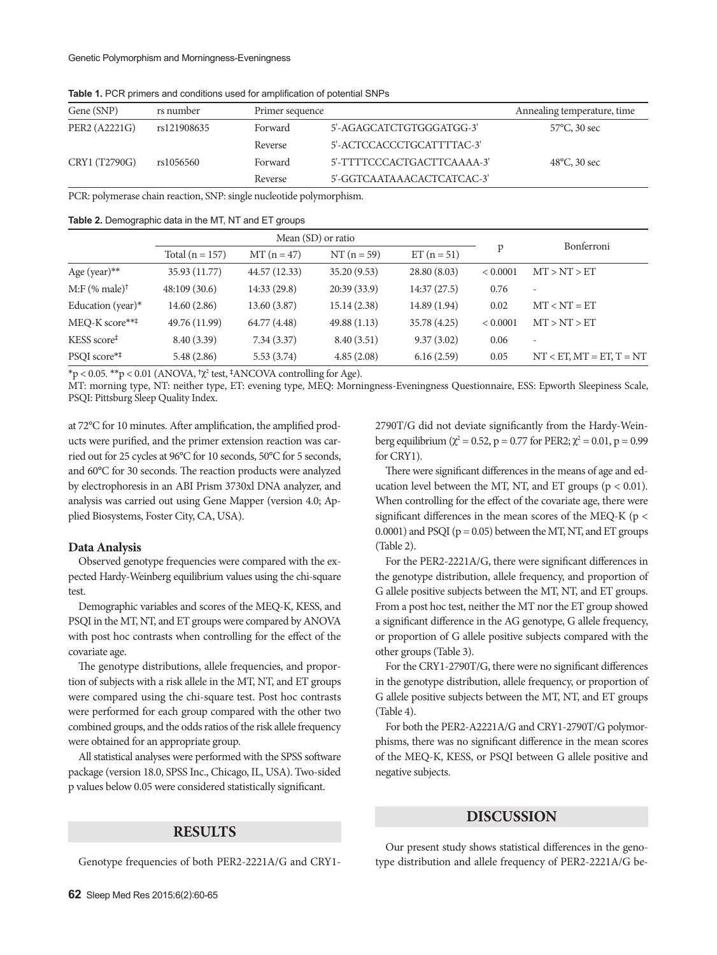| Gene (SNP)    | rs number   | Primer sequence |                            | Annealing temperature, time |
|---------------|-------------|-----------------|----------------------------|-----------------------------|
| PER2 (A2221G) | rs121908635 | Forward         | 5'-AGAGCATCTGTGGGATGG-3'   | $57^{\circ}$ C, 30 sec      |
|               |             | Reverse         | 5'-ACTCCACCCTGCATTTTAC-3'  |                             |
| CRY1 (T2790G) | rs1056560   | Forward         | 5'-TTTTCCCACTGACTTCAAAA-3' | $48^{\circ}$ C, 30 sec      |
|               |             | Reverse         | 5'-GGTCAATAAACACTCATCAC-3' |                             |

**Table 1.** PCR primers and conditions used for amplification of potential SNPs

PCR: polymerase chain reaction, SNP: single nucleotide polymorphism.

#### **Table 2.** Demographic data in the MT, NT and ET groups

|                              | Mean (SD) or ratio |               |               |              |          | Bonferroni                 |  |
|------------------------------|--------------------|---------------|---------------|--------------|----------|----------------------------|--|
|                              | Total $(n = 157)$  | $MT (n = 47)$ | $NT (n = 59)$ | $ET(n = 51)$ | p        |                            |  |
| Age (year) $**$              | 35.93 (11.77)      | 44.57 (12.33) | 35.20(9.53)   | 28.80 (8.03) | < 0.0001 | MT > NT > ET               |  |
| $M: F$ (% male) <sup>†</sup> | 48:109(30.6)       | 14:33 (29.8)  | 20:39(33.9)   | 14:37(27.5)  | 0.76     | $\overline{\phantom{a}}$   |  |
| Education (year) $*$         | 14.60(2.86)        | 13.60 (3.87)  | 15.14(2.38)   | 14.89 (1.94) | 0.02     | $MT < NT = ET$             |  |
| MEQ-K score***               | 49.76 (11.99)      | 64.77 (4.48)  | 49.88(1.13)   | 35.78 (4.25) | < 0.0001 | MT > NT > ET               |  |
| KESS score <sup>‡</sup>      | 8.40 (3.39)        | 7.34(3.37)    | 8.40(3.51)    | 9.37(3.02)   | 0.06     | $\overline{\phantom{a}}$   |  |
| PSQI score**                 | 5.48(2.86)         | 5.53(3.74)    | 4.85(2.08)    | 6.16(2.59)   | 0.05     | $NT < ET, MT = ET, T = NT$ |  |

 $np < 0.05$ . \*\*p < 0.01 (ANOVA,  $\tau \chi^2$  test,  $\frac{1}{2}$ ANCOVA controlling for Age).

MT: morning type, NT: neither type, ET: evening type, MEQ: Morningness-Eveningness Questionnaire, ESS: Epworth Sleepiness Scale, PSQI: Pittsburg Sleep Quality Index.

at 72°C for 10 minutes. After amplification, the amplified products were purified, and the primer extension reaction was carried out for 25 cycles at 96°C for 10 seconds, 50°C for 5 seconds, and 60°C for 30 seconds. The reaction products were analyzed by electrophoresis in an ABI Prism 3730xl DNA analyzer, and analysis was carried out using Gene Mapper (version 4.0; Applied Biosystems, Foster City, CA, USA).

## **Data Analysis**

Observed genotype frequencies were compared with the expected Hardy-Weinberg equilibrium values using the chi-square test.

Demographic variables and scores of the MEQ-K, KESS, and PSQI in the MT, NT, and ET groups were compared by ANOVA with post hoc contrasts when controlling for the effect of the covariate age.

The genotype distributions, allele frequencies, and proportion of subjects with a risk allele in the MT, NT, and ET groups were compared using the chi-square test. Post hoc contrasts were performed for each group compared with the other two combined groups, and the odds ratios of the risk allele frequency were obtained for an appropriate group.

All statistical analyses were performed with the SPSS software package (version 18.0, SPSS Inc., Chicago, IL, USA). Two-sided p values below 0.05 were considered statistically significant.

## **RESULTS**

Genotype frequencies of both PER2-2221A/G and CRY1-

**62** Sleep Med Res 2015;6(2):60-65

2790T/G did not deviate significantly from the Hardy-Weinberg equilibrium ( $χ² = 0.52$ , p = 0.77 for PER2;  $χ² = 0.01$ , p = 0.99 for CRY1).

There were significant differences in the means of age and education level between the MT, NT, and ET groups ( $p < 0.01$ ). When controlling for the effect of the covariate age, there were significant differences in the mean scores of the MEQ-K ( $p <$ 0.0001) and PSQI ( $p = 0.05$ ) between the MT, NT, and ET groups (Table 2).

For the PER2-2221A/G, there were significant differences in the genotype distribution, allele frequency, and proportion of G allele positive subjects between the MT, NT, and ET groups. From a post hoc test, neither the MT nor the ET group showed a significant difference in the AG genotype, G allele frequency, or proportion of G allele positive subjects compared with the other groups (Table 3).

For the CRY1-2790T/G, there were no significant differences in the genotype distribution, allele frequency, or proportion of G allele positive subjects between the MT, NT, and ET groups (Table 4).

For both the PER2-A2221A/G and CRY1-2790T/G polymorphisms, there was no significant difference in the mean scores of the MEQ-K, KESS, or PSQI between G allele positive and negative subjects.

## **DISCUSSION**

Our present study shows statistical differences in the genotype distribution and allele frequency of PER2-2221A/G be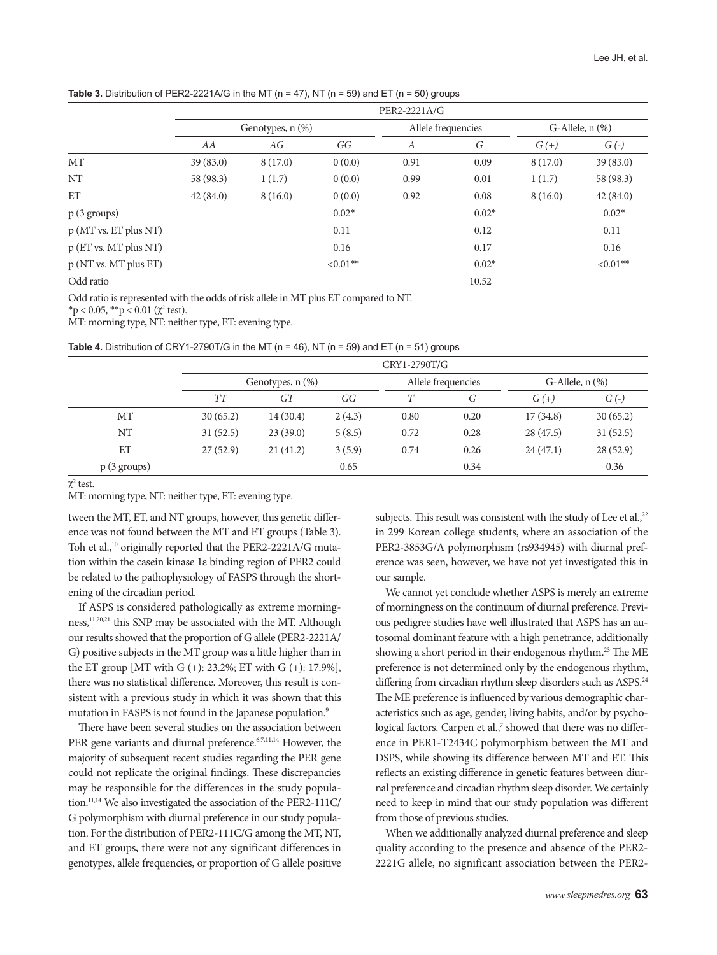**Table 3.** Distribution of PER2-2221A/G in the MT ( $n = 47$ ), NT ( $n = 59$ ) and ET ( $n = 50$ ) groups

|                       | PER2-2221A/G          |         |             |                    |         |                      |             |  |
|-----------------------|-----------------------|---------|-------------|--------------------|---------|----------------------|-------------|--|
|                       | Genotypes, $n$ $(\%)$ |         |             | Allele frequencies |         | G-Allele, $n$ $(\%)$ |             |  |
|                       | AA                    | AG      | GG          | $\boldsymbol{A}$   | G       | G(t)                 | $G(\cdot)$  |  |
| MT                    | 39(83.0)              | 8(17.0) | 0(0.0)      | 0.91               | 0.09    | 8(17.0)              | 39 (83.0)   |  |
| NT                    | 58 (98.3)             | 1(1.7)  | 0(0.0)      | 0.99               | 0.01    | 1(1.7)               | 58 (98.3)   |  |
| ET                    | 42(84.0)              | 8(16.0) | 0(0.0)      | 0.92               | 0.08    | 8(16.0)              | 42(84.0)    |  |
| $p(3 \text{ groups})$ |                       |         | $0.02*$     |                    | $0.02*$ |                      | $0.02*$     |  |
| p(MT vs. ET plus NT)  |                       |         | 0.11        |                    | 0.12    |                      | 0.11        |  |
| p (ET vs. MT plus NT) |                       |         | 0.16        |                    | 0.17    |                      | 0.16        |  |
| p (NT vs. MT plus ET) |                       |         | $< 0.01$ ** |                    | $0.02*$ |                      | $< 0.01$ ** |  |
| Odd ratio             |                       |         |             |                    | 10.52   |                      |             |  |

Odd ratio is represented with the odds of risk allele in MT plus ET compared to NT.

 $*$ p < 0.05,  $*$  $*$ p < 0.01 ( $\chi^2$  test).

MT: morning type, NT: neither type, ET: evening type.

**Table 4.** Distribution of CRY1-2790T/G in the MT ( $n = 46$ ), NT ( $n = 59$ ) and ET ( $n = 51$ ) groups

|                       | CRY1-2790T/G          |          |        |                    |      |                      |            |
|-----------------------|-----------------------|----------|--------|--------------------|------|----------------------|------------|
|                       | Genotypes, $n$ $(\%)$ |          |        | Allele frequencies |      | G-Allele, $n$ $(\%)$ |            |
|                       | <b>TT</b>             | GT       | GG     |                    | G    | $G(+)$               | $G(\cdot)$ |
| MT                    | 30(65.2)              | 14(30.4) | 2(4.3) | 0.80               | 0.20 | 17(34.8)             | 30(65.2)   |
| NT                    | 31(52.5)              | 23(39.0) | 5(8.5) | 0.72               | 0.28 | 28(47.5)             | 31(52.5)   |
| ET                    | 27(52.9)              | 21(41.2) | 3(5.9) | 0.74               | 0.26 | 24(47.1)             | 28(52.9)   |
| $p(3 \text{ groups})$ |                       |          | 0.65   |                    | 0.34 |                      | 0.36       |

χ2 test.

MT: morning type, NT: neither type, ET: evening type.

tween the MT, ET, and NT groups, however, this genetic difference was not found between the MT and ET groups (Table 3). Toh et al.,<sup>10</sup> originally reported that the PER2-2221A/G mutation within the casein kinase 1ε binding region of PER2 could be related to the pathophysiology of FASPS through the shortening of the circadian period.

If ASPS is considered pathologically as extreme morningness,<sup>11,20,21</sup> this SNP may be associated with the MT. Although our results showed that the proportion of G allele (PER2-2221A/ G) positive subjects in the MT group was a little higher than in the ET group [MT with G (+): 23.2%; ET with G (+): 17.9%], there was no statistical difference. Moreover, this result is consistent with a previous study in which it was shown that this mutation in FASPS is not found in the Japanese population.<sup>9</sup>

There have been several studies on the association between PER gene variants and diurnal preference.<sup>6,7,11,14</sup> However, the majority of subsequent recent studies regarding the PER gene could not replicate the original findings. These discrepancies may be responsible for the differences in the study population.11,14 We also investigated the association of the PER2-111C/ G polymorphism with diurnal preference in our study population. For the distribution of PER2-111C/G among the MT, NT, and ET groups, there were not any significant differences in genotypes, allele frequencies, or proportion of G allele positive subjects. This result was consistent with the study of Lee et al., $^{22}$ in 299 Korean college students, where an association of the PER2-3853G/A polymorphism (rs934945) with diurnal preference was seen, however, we have not yet investigated this in our sample.

We cannot yet conclude whether ASPS is merely an extreme of morningness on the continuum of diurnal preference. Previous pedigree studies have well illustrated that ASPS has an autosomal dominant feature with a high penetrance, additionally showing a short period in their endogenous rhythm.<sup>23</sup> The ME preference is not determined only by the endogenous rhythm, differing from circadian rhythm sleep disorders such as ASPS.<sup>24</sup> The ME preference is influenced by various demographic characteristics such as age, gender, living habits, and/or by psychological factors. Carpen et al.,<sup>7</sup> showed that there was no difference in PER1-T2434C polymorphism between the MT and DSPS, while showing its difference between MT and ET. This reflects an existing difference in genetic features between diurnal preference and circadian rhythm sleep disorder. We certainly need to keep in mind that our study population was different from those of previous studies.

When we additionally analyzed diurnal preference and sleep quality according to the presence and absence of the PER2- 2221G allele, no significant association between the PER2-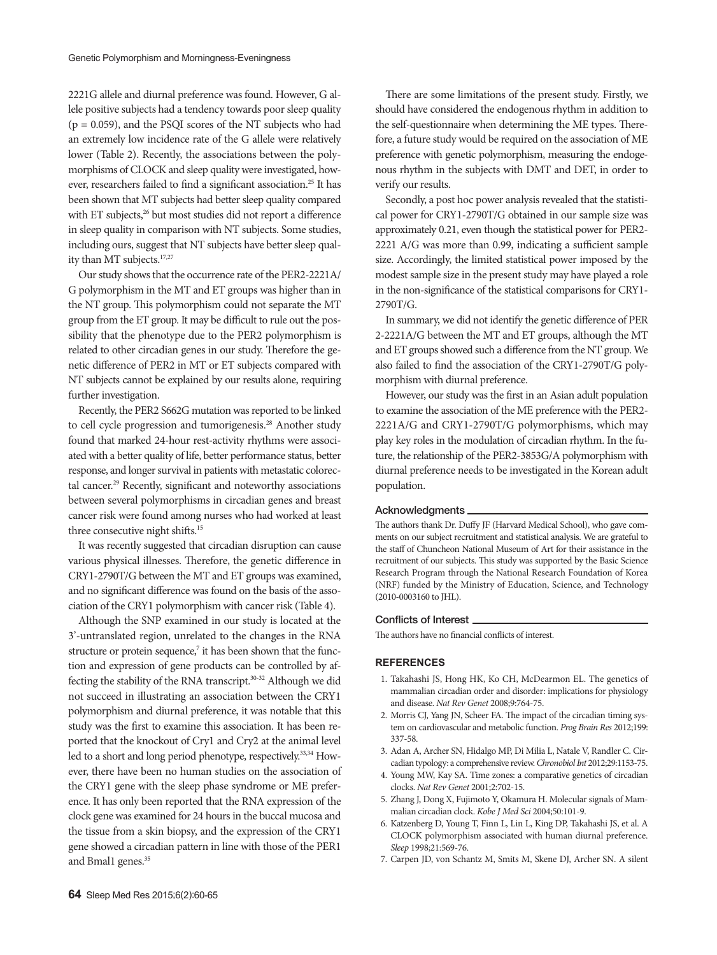2221G allele and diurnal preference was found. However, G allele positive subjects had a tendency towards poor sleep quality  $(p = 0.059)$ , and the PSQI scores of the NT subjects who had an extremely low incidence rate of the G allele were relatively lower (Table 2). Recently, the associations between the polymorphisms of CLOCK and sleep quality were investigated, however, researchers failed to find a significant association.<sup>25</sup> It has been shown that MT subjects had better sleep quality compared with ET subjects,<sup>26</sup> but most studies did not report a difference in sleep quality in comparison with NT subjects. Some studies, including ours, suggest that NT subjects have better sleep quality than MT subjects.<sup>17,27</sup>

Our study shows that the occurrence rate of the PER2-2221A/ G polymorphism in the MT and ET groups was higher than in the NT group. This polymorphism could not separate the MT group from the ET group. It may be difficult to rule out the possibility that the phenotype due to the PER2 polymorphism is related to other circadian genes in our study. Therefore the genetic difference of PER2 in MT or ET subjects compared with NT subjects cannot be explained by our results alone, requiring further investigation.

Recently, the PER2 S662G mutation was reported to be linked to cell cycle progression and tumorigenesis.<sup>28</sup> Another study found that marked 24-hour rest-activity rhythms were associated with a better quality of life, better performance status, better response, and longer survival in patients with metastatic colorectal cancer.<sup>29</sup> Recently, significant and noteworthy associations between several polymorphisms in circadian genes and breast cancer risk were found among nurses who had worked at least three consecutive night shifts.<sup>15</sup>

It was recently suggested that circadian disruption can cause various physical illnesses. Therefore, the genetic difference in CRY1-2790T/G between the MT and ET groups was examined, and no significant difference was found on the basis of the association of the CRY1 polymorphism with cancer risk (Table 4).

Although the SNP examined in our study is located at the 3'-untranslated region, unrelated to the changes in the RNA structure or protein sequence,<sup>7</sup> it has been shown that the function and expression of gene products can be controlled by affecting the stability of the RNA transcript.30-32 Although we did not succeed in illustrating an association between the CRY1 polymorphism and diurnal preference, it was notable that this study was the first to examine this association. It has been reported that the knockout of Cry1 and Cry2 at the animal level led to a short and long period phenotype, respectively.<sup>33,34</sup> However, there have been no human studies on the association of the CRY1 gene with the sleep phase syndrome or ME preference. It has only been reported that the RNA expression of the clock gene was examined for 24 hours in the buccal mucosa and the tissue from a skin biopsy, and the expression of the CRY1 gene showed a circadian pattern in line with those of the PER1 and Bmal1 genes.<sup>35</sup>

There are some limitations of the present study. Firstly, we should have considered the endogenous rhythm in addition to the self-questionnaire when determining the ME types. Therefore, a future study would be required on the association of ME preference with genetic polymorphism, measuring the endogenous rhythm in the subjects with DMT and DET, in order to verify our results.

Secondly, a post hoc power analysis revealed that the statistical power for CRY1-2790T/G obtained in our sample size was approximately 0.21, even though the statistical power for PER2- 2221 A/G was more than 0.99, indicating a sufficient sample size. Accordingly, the limited statistical power imposed by the modest sample size in the present study may have played a role in the non-significance of the statistical comparisons for CRY1- 2790T/G.

In summary, we did not identify the genetic difference of PER 2-2221A/G between the MT and ET groups, although the MT and ET groups showed such a difference from the NT group. We also failed to find the association of the CRY1-2790T/G polymorphism with diurnal preference.

However, our study was the first in an Asian adult population to examine the association of the ME preference with the PER2- 2221A/G and CRY1-2790T/G polymorphisms, which may play key roles in the modulation of circadian rhythm. In the future, the relationship of the PER2-3853G/A polymorphism with diurnal preference needs to be investigated in the Korean adult population.

#### Acknowledgments

The authors thank Dr. Duffy JF (Harvard Medical School), who gave comments on our subject recruitment and statistical analysis. We are grateful to the staff of Chuncheon National Museum of Art for their assistance in the recruitment of our subjects. This study was supported by the Basic Science Research Program through the National Research Foundation of Korea (NRF) funded by the Ministry of Education, Science, and Technology (2010-0003160 to JHL).

#### Conflicts of Interest

The authors have no financial conflicts of interest.

#### **REFERENCES**

- 1. Takahashi JS, Hong HK, Ko CH, McDearmon EL. The genetics of mammalian circadian order and disorder: implications for physiology and disease. *Nat Rev Genet* 2008;9:764-75.
- 2. Morris CJ, Yang JN, Scheer FA. The impact of the circadian timing system on cardiovascular and metabolic function. *Prog Brain Res* 2012;199: 337-58.
- 3. Adan A, Archer SN, Hidalgo MP, Di Milia L, Natale V, Randler C. Circadian typology: a comprehensive review. *Chronobiol Int* 2012;29:1153-75.
- 4. Young MW, Kay SA. Time zones: a comparative genetics of circadian clocks. *Nat Rev Genet* 2001;2:702-15.
- 5. Zhang J, Dong X, Fujimoto Y, Okamura H. Molecular signals of Mammalian circadian clock. *Kobe J Med Sci* 2004;50:101-9.
- 6. Katzenberg D, Young T, Finn L, Lin L, King DP, Takahashi JS, et al. A CLOCK polymorphism associated with human diurnal preference. *Sleep* 1998;21:569-76.
- 7. Carpen JD, von Schantz M, Smits M, Skene DJ, Archer SN. A silent